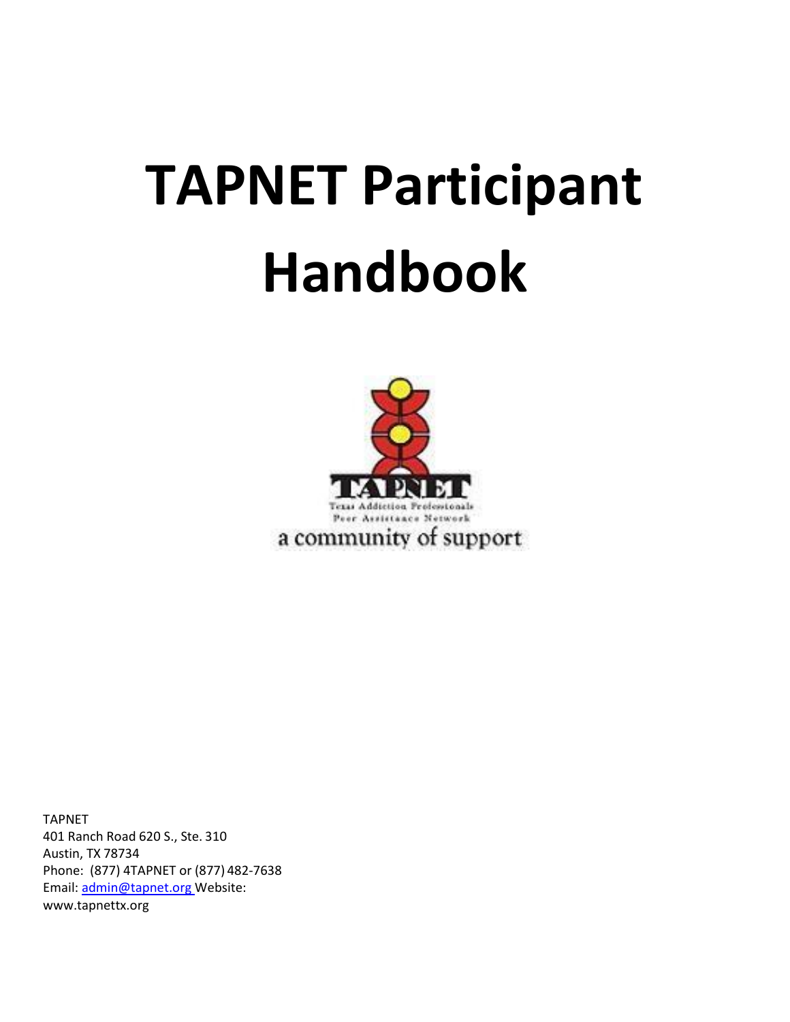# **TAPNET Participant Handbook**



TAPNET 401 Ranch Road 620 S., Ste. 310 Austin, TX 78734 Phone: (877) 4TAPNET or (877) 482-7638 Email: [admin@tapnet.org W](mailto:admin@tapnet.org)ebsite: [www.tapnettx.org](http://www.tapnettx.org/)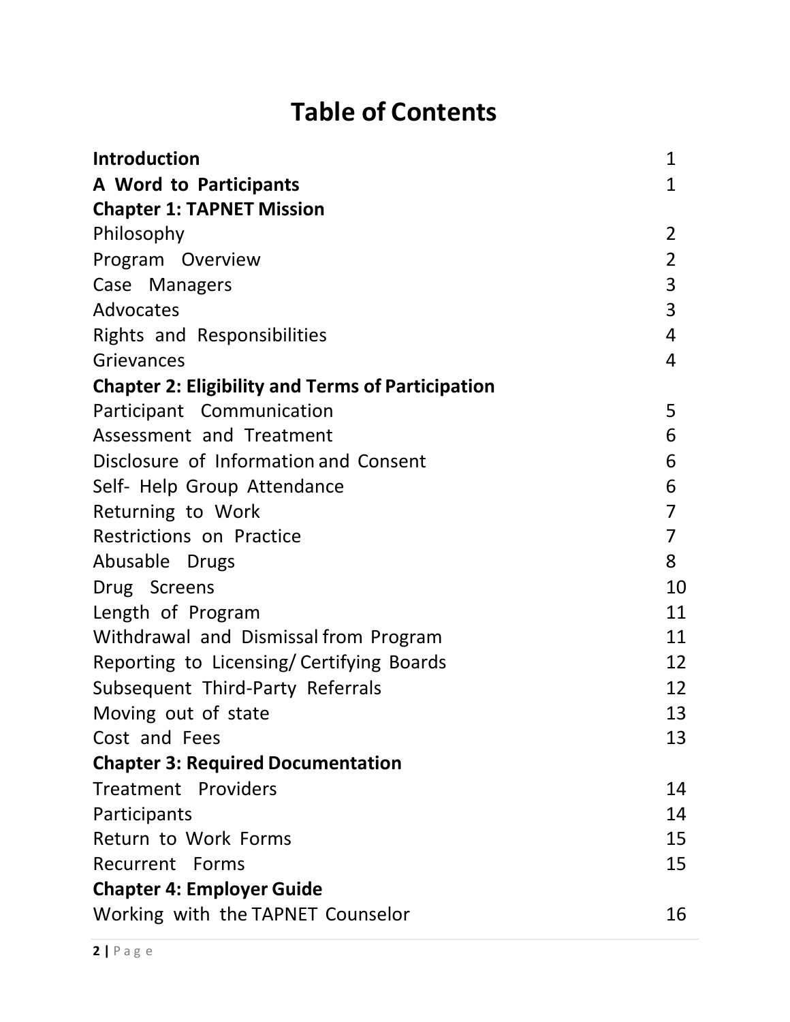# **Table of Contents**

| <b>Introduction</b>                                      | $\mathbf{1}$   |
|----------------------------------------------------------|----------------|
| A Word to Participants                                   | 1              |
| <b>Chapter 1: TAPNET Mission</b>                         |                |
| Philosophy                                               | 2              |
| Program Overview                                         | $\overline{2}$ |
| Case Managers                                            | $\overline{3}$ |
| Advocates                                                | $\overline{3}$ |
| <b>Rights and Responsibilities</b>                       | 4              |
| Grievances                                               | 4              |
| <b>Chapter 2: Eligibility and Terms of Participation</b> |                |
| Participant Communication                                | 5              |
| Assessment and Treatment                                 | 6              |
| Disclosure of Information and Consent                    | 6              |
| Self- Help Group Attendance                              | 6              |
| Returning to Work                                        | $\overline{7}$ |
| Restrictions on Practice                                 | $\overline{7}$ |
| Abusable Drugs                                           | 8              |
| Drug Screens                                             | 10             |
| Length of Program                                        | 11             |
| Withdrawal and Dismissal from Program                    | 11             |
| Reporting to Licensing/Certifying Boards                 | 12             |
| Subsequent Third-Party Referrals                         | 12             |
| Moving out of state                                      | 13             |
| Cost and Fees                                            | 13             |
| <b>Chapter 3: Required Documentation</b>                 |                |
| Treatment Providers                                      | 14             |
| Participants                                             | 14             |
| Return to Work Forms                                     | 15             |
| Recurrent Forms                                          | 15             |
| <b>Chapter 4: Employer Guide</b>                         |                |
| Working with the TAPNET Counselor                        | 16             |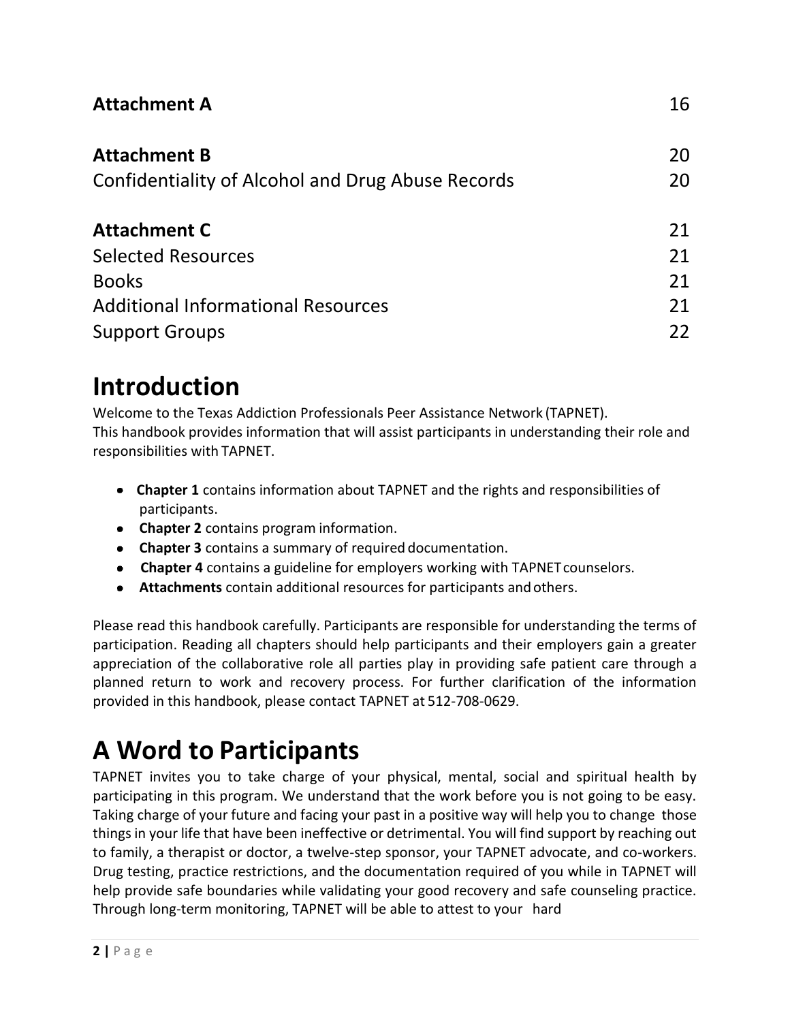#### **[Attachment](#page-17-0) A** 16

| <b>Attachment B</b><br>Confidentiality of Alcohol and Drug Abuse Records | 20<br>20 |
|--------------------------------------------------------------------------|----------|
| <b>Attachment C</b>                                                      | 21       |
| <b>Selected Resources</b>                                                | 21       |
| <b>Books</b>                                                             | 21       |
| <b>Additional Informational Resources</b>                                | 21       |
| <b>Support Groups</b>                                                    | 22       |

### <span id="page-2-0"></span>**Introduction**

Welcome to the Texas Addiction Professionals Peer Assistance Network (TAPNET). This handbook provides information that will assist participants in understanding their role and responsibilities with TAPNET.

- **Chapter 1** contains information about TAPNET and the rights and responsibilities of participants.
- **Chapter 2** contains program information.
- **Chapter 3** contains a summary of required documentation.
- **Chapter 4** contains a guideline for employers working with TAPNET counselors.
- **Attachments** contain additional resources for participants andothers.

Please read this handbook carefully. Participants are responsible for understanding the terms of participation. Reading all chapters should help participants and their employers gain a greater appreciation of the collaborative role all parties play in providing safe patient care through a planned return to work and recovery process. For further clarification of the information provided in this handbook, please contact TAPNET at 512-708-0629.

# <span id="page-2-1"></span>**A Word to Participants**

TAPNET invites you to take charge of your physical, mental, social and spiritual health by participating in this program. We understand that the work before you is not going to be easy. Taking charge of your future and facing your past in a positive way will help you to change those things in your life that have been ineffective or detrimental. You will find support by reaching out to family, a therapist or doctor, a twelve-step sponsor, your TAPNET advocate, and co-workers. Drug testing, practice restrictions, and the documentation required of you while in TAPNET will help provide safe boundaries while validating your good recovery and safe counseling practice. Through long-term monitoring, TAPNET will be able to attest to your hard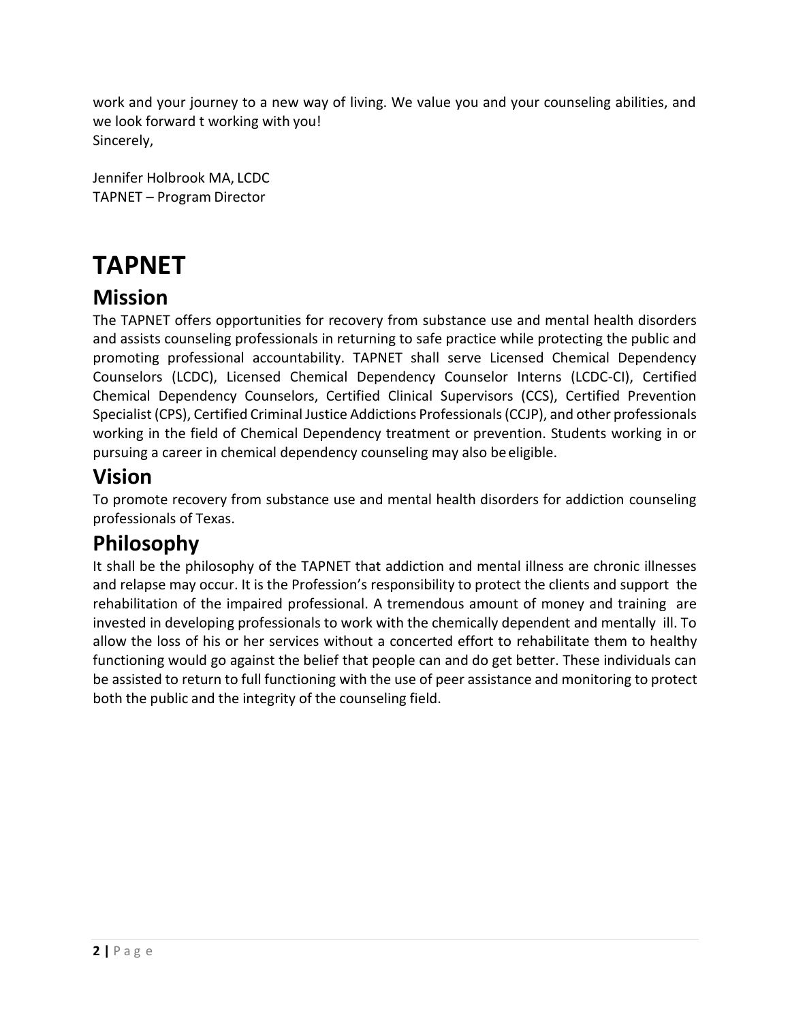work and your journey to a new way of living. We value you and your counseling abilities, and we look forward t working with you! Sincerely,

Jennifer Holbrook MA, LCDC TAPNET – Program Director

# **TAPNET**

### **Mission**

The TAPNET offers opportunities for recovery from substance use and mental health disorders and assists counseling professionals in returning to safe practice while protecting the public and promoting professional accountability. TAPNET shall serve Licensed Chemical Dependency Counselors (LCDC), Licensed Chemical Dependency Counselor Interns (LCDC-CI), Certified Chemical Dependency Counselors, Certified Clinical Supervisors (CCS), Certified Prevention Specialist (CPS), Certified Criminal Justice Addictions Professionals (CCJP), and other professionals working in the field of Chemical Dependency treatment or prevention. Students working in or pursuing a career in chemical dependency counseling may also be eligible.

### **Vision**

To promote recovery from substance use and mental health disorders for addiction counseling professionals of Texas.

### <span id="page-3-0"></span>**Philosophy**

It shall be the philosophy of the TAPNET that addiction and mental illness are chronic illnesses and relapse may occur. It is the Profession's responsibility to protect the clients and support the rehabilitation of the impaired professional. A tremendous amount of money and training are invested in developing professionals to work with the chemically dependent and mentally ill. To allow the loss of his or her services without a concerted effort to rehabilitate them to healthy functioning would go against the belief that people can and do get better. These individuals can be assisted to return to full functioning with the use of peer assistance and monitoring to protect both the public and the integrity of the counseling field.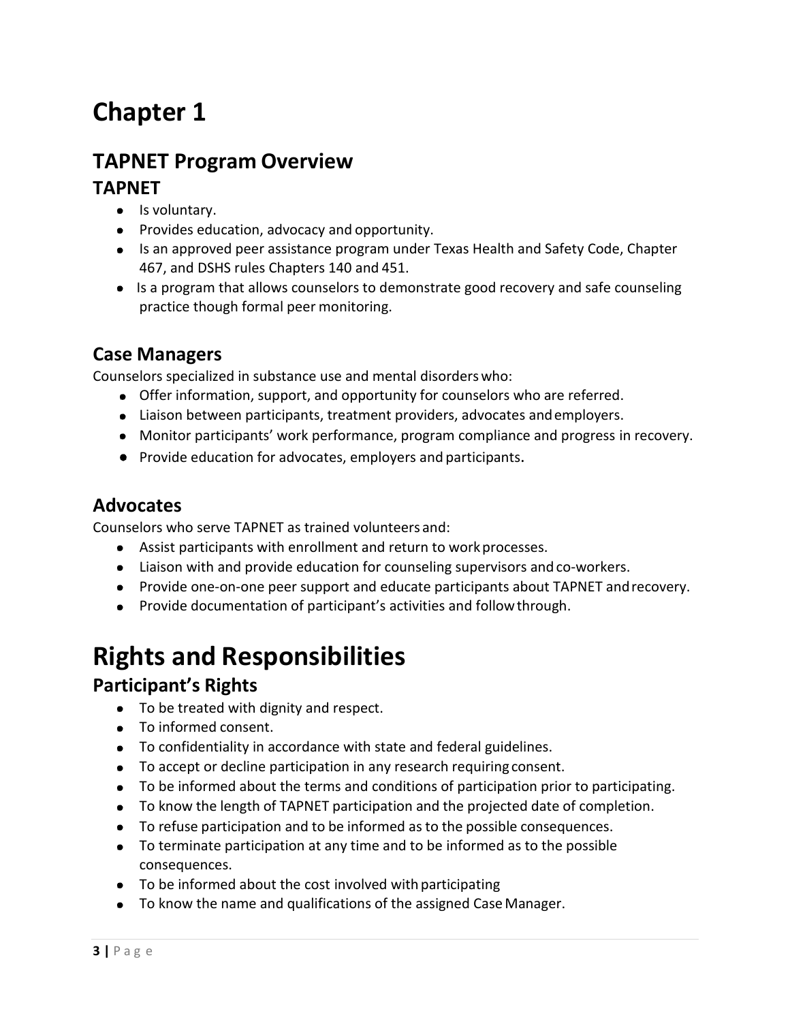# **Chapter 1**

### **TAPNET Program Overview**

#### **TAPNET**

- Is voluntary.
- Provides education, advocacy and opportunity.
- Is an approved peer assistance program under Texas Health and Safety Code, Chapter 467, and DSHS rules Chapters 140 and 451.
- Is a program that allows counselors to demonstrate good recovery and safe counseling practice though formal peer monitoring.

#### <span id="page-4-0"></span>**Case Managers**

Counselors specialized in substance use and mental disorderswho:

- Offer information, support, and opportunity for counselors who are referred.
- Liaison between participants, treatment providers, advocates andemployers.
- Monitor participants' work performance, program compliance and progress in recovery.
- Provide education for advocates, employers and participants.

#### <span id="page-4-1"></span>**Advocates**

Counselors who serve TAPNET as trained volunteers and:

- Assist participants with enrollment and return to workprocesses.
- Liaison with and provide education for counseling supervisors and co-workers.
- Provide one-on-one peer support and educate participants about TAPNET andrecovery.
- Provide documentation of participant's activities and follow through.

### <span id="page-4-2"></span>**Rights and Responsibilities**

#### **Participant's Rights**

- To be treated with dignity and respect.
- To informed consent.
- To confidentiality in accordance with state and federal guidelines.
- To accept or decline participation in any research requiring consent.
- To be informed about the terms and conditions of participation prior to participating.
- To know the length of TAPNET participation and the projected date of completion.
- To refuse participation and to be informed as to the possible consequences.
- To terminate participation at any time and to be informed as to the possible consequences.
- $\bullet$  To be informed about the cost involved with participating
- To know the name and qualifications of the assigned Case Manager.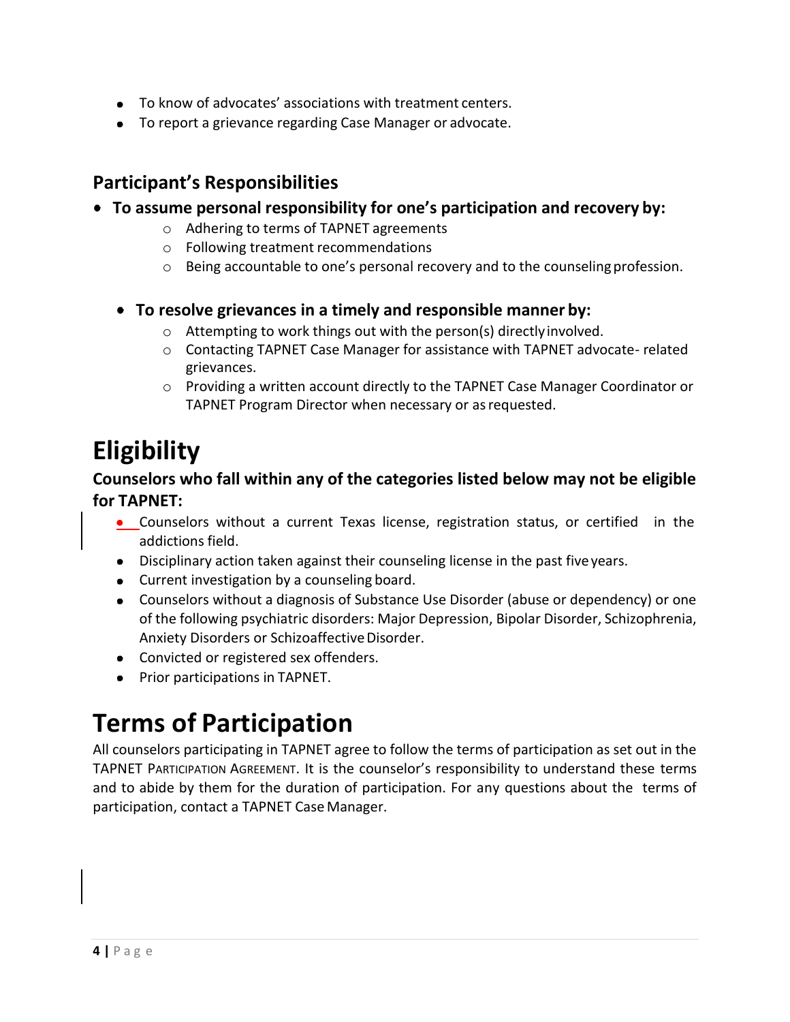- To know of advocates' associations with treatment centers.
- To report a grievance regarding Case Manager or advocate.

#### **Participant's Responsibilities**

- **To assume personal responsibility for one's participation and recovery by:**
	- o Adhering to terms of TAPNET agreements
	- o Following treatment recommendations
	- o Being accountable to one's personal recovery and to the counselingprofession.
	- **To resolve grievances in a timely and responsible manner by:**
		- o Attempting to work things out with the person(s) directlyinvolved.
		- o Contacting TAPNET Case Manager for assistance with TAPNET advocate- related grievances.
		- o Providing a written account directly to the TAPNET Case Manager Coordinator or TAPNET Program Director when necessary or as requested.

### **Eligibility**

#### **Counselors who fall within any of the categories listed below may not be eligible for TAPNET:**

- Counselors without a current Texas license, registration status, or certified in the addictions field.
- Disciplinary action taken against their counseling license in the past fiveyears.
- Current investigation by a counseling board.
- Counselors without a diagnosis of Substance Use Disorder (abuse or dependency) or one of the following psychiatric disorders: Major Depression, Bipolar Disorder, Schizophrenia, Anxiety Disorders or Schizoaffective Disorder.
- Convicted or registered sex offenders.
- Prior participations in TAPNET.

### **Terms of Participation**

All counselors participating in TAPNET agree to follow the terms of participation as set out in the TAPNET PARTICIPATION AGREEMENT. It is the counselor's responsibility to understand these terms and to abide by them for the duration of participation. For any questions about the terms of participation, contact a TAPNET Case Manager.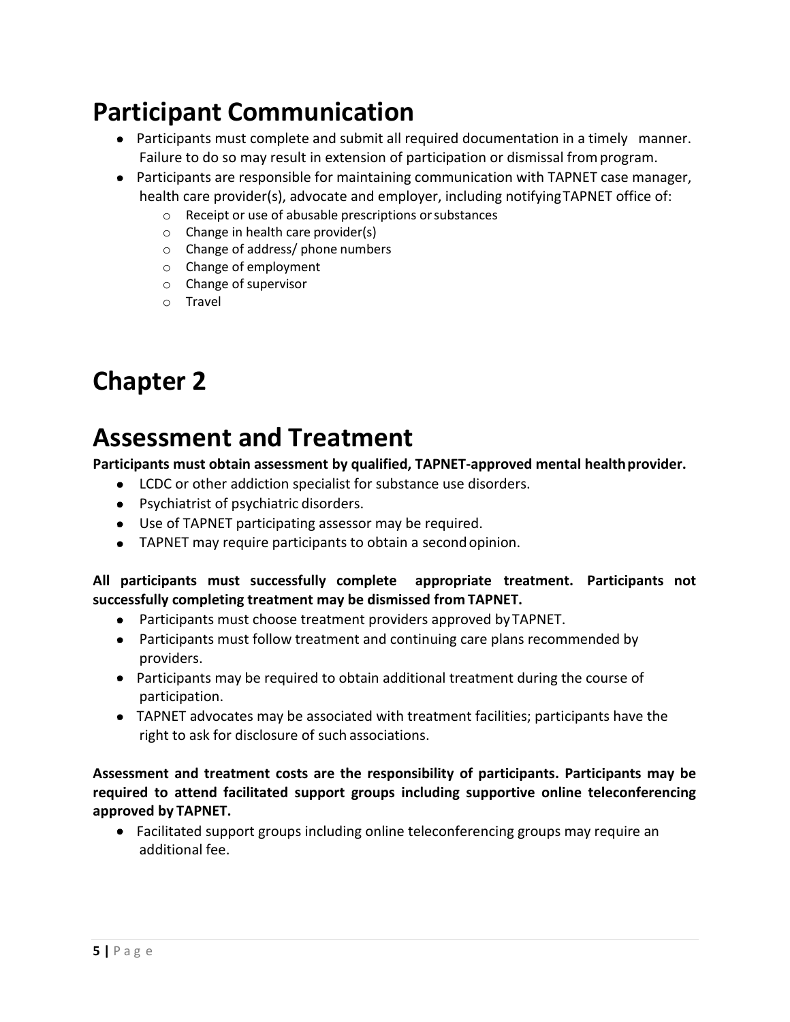### <span id="page-6-0"></span>**Participant Communication**

- Participants must complete and submit all required documentation in a timely manner. Failure to do so may result in extension of participation or dismissal fromprogram.
- Participants are responsible for maintaining communication with TAPNET case manager, health care provider(s), advocate and employer, including notifyingTAPNET office of:
	- o Receipt or use of abusable prescriptions orsubstances
	- o Change in health care provider(s)
	- o Change of address/ phone numbers
	- o Change of employment
	- o Change of supervisor
	- o Travel

### **Chapter 2**

### <span id="page-6-1"></span>**Assessment and Treatment**

**Participants must obtain assessment by qualified, TAPNET-approved mental healthprovider.**

- LCDC or other addiction specialist for substance use disorders.
- Psychiatrist of psychiatric disorders.
- Use of TAPNET participating assessor may be required.
- TAPNET may require participants to obtain a secondopinion.

#### **All participants must successfully complete appropriate treatment. Participants not successfully completing treatment may be dismissed from TAPNET.**

- Participants must choose treatment providers approved by TAPNET.
- Participants must follow treatment and continuing care plans recommended by providers.
- Participants may be required to obtain additional treatment during the course of participation.
- TAPNET advocates may be associated with treatment facilities; participants have the right to ask for disclosure of such associations.

**Assessment and treatment costs are the responsibility of participants. Participants may be required to attend facilitated support groups including supportive online teleconferencing approved by TAPNET.**

• Facilitated support groups including online teleconferencing groups may require an additional fee.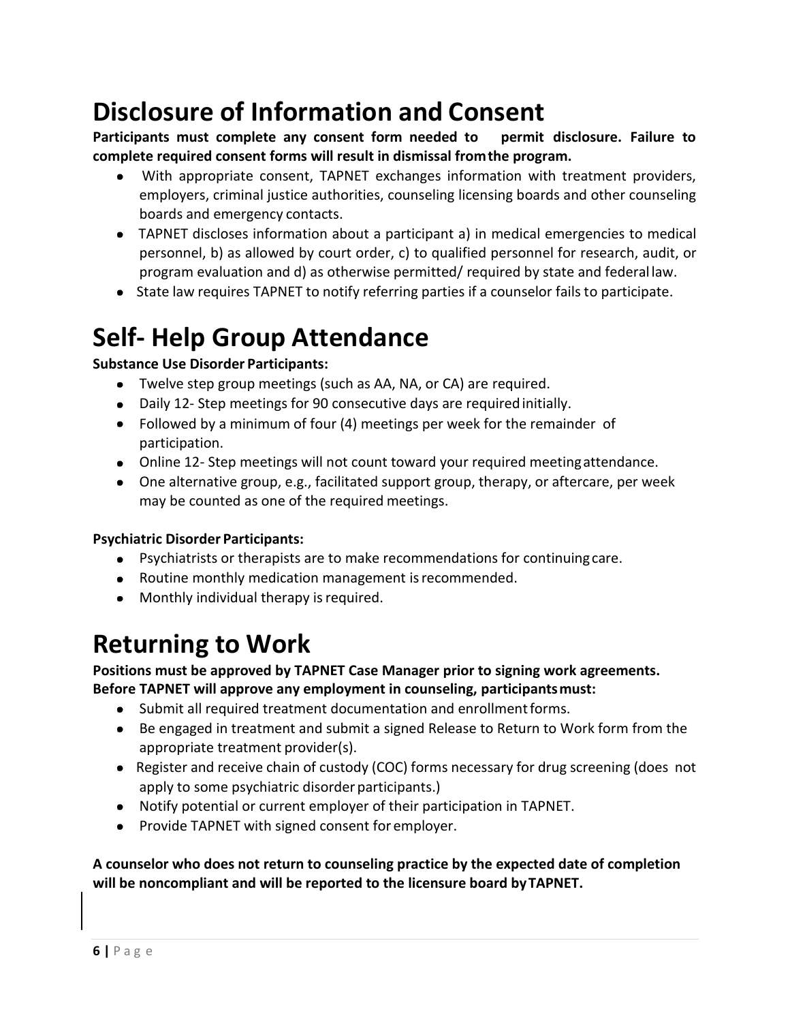### <span id="page-7-0"></span>**Disclosure of Information and Consent**

**Participants must complete any consent form needed to permit disclosure. Failure to complete required consent forms will result in dismissal fromthe program.**

- With appropriate consent, TAPNET exchanges information with treatment providers, employers, criminal justice authorities, counseling licensing boards and other counseling boards and emergency contacts.
- TAPNET discloses information about a participant a) in medical emergencies to medical personnel, b) as allowed by court order, c) to qualified personnel for research, audit, or program evaluation and d) as otherwise permitted/ required by state and federal law.
- State law requires TAPNET to notify referring parties if a counselor fails to participate.

### <span id="page-7-1"></span>**Self- Help Group Attendance**

#### **Substance Use Disorder Participants:**

- Twelve step group meetings (such as AA, NA, or CA) are required.
- Daily 12- Step meetings for 90 consecutive days are requiredinitially.
- Followed by a minimum of four (4) meetings per week for the remainder of participation.
- Online 12- Step meetings will not count toward your required meetingattendance.
- One alternative group, e.g., facilitated support group, therapy, or aftercare, per week may be counted as one of the required meetings.

#### **Psychiatric Disorder Participants:**

- Psychiatrists or therapists are to make recommendations for continuing care.
- Routine monthly medication management isrecommended.
- Monthly individual therapy is required.

### <span id="page-7-2"></span>**Returning to Work**

#### **Positions must be approved by TAPNET Case Manager prior to signing work agreements. Before TAPNET will approve any employment in counseling, participantsmust:**

- Submit all required treatment documentation and enrollmentforms.
- Be engaged in treatment and submit a signed Release to Return to Work form from the appropriate treatment provider(s).
- Register and receive chain of custody (COC) forms necessary for drug screening (does not apply to some psychiatric disorder participants.)
- Notify potential or current employer of their participation in TAPNET.
- Provide TAPNET with signed consent for employer.

#### **A counselor who does not return to counseling practice by the expected date of completion will be noncompliant and will be reported to the licensure board byTAPNET.**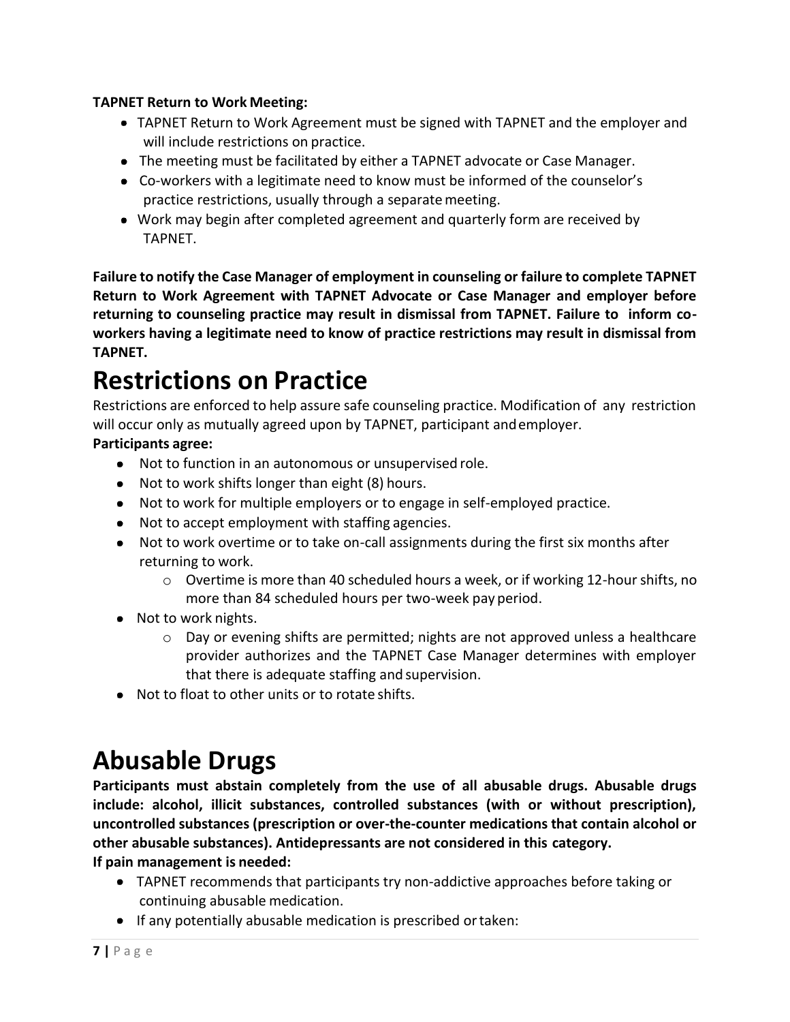#### **TAPNET Return to Work Meeting:**

- TAPNET Return to Work Agreement must be signed with TAPNET and the employer and will include restrictions on practice.
- The meeting must be facilitated by either a TAPNET advocate or Case Manager.
- Co-workers with a legitimate need to know must be informed of the counselor's practice restrictions, usually through a separatemeeting.
- Work may begin after completed agreement and quarterly form are received by TAPNET.

**Failure to notify the Case Manager of employment in counseling or failure to complete TAPNET Return to Work Agreement with TAPNET Advocate or Case Manager and employer before returning to counseling practice may result in dismissal from TAPNET. Failure to inform coworkers having a legitimate need to know of practice restrictions may result in dismissal from TAPNET.**

# <span id="page-8-0"></span>**Restrictions on Practice**

Restrictions are enforced to help assure safe counseling practice. Modification of any restriction will occur only as mutually agreed upon by TAPNET, participant andemployer.

#### **Participants agree:**

- Not to function in an autonomous or unsupervised role.
- Not to work shifts longer than eight (8) hours.
- Not to work for multiple employers or to engage in self-employed practice.
- Not to accept employment with staffing agencies.
- Not to work overtime or to take on-call assignments during the first six months after returning to work.
	- $\circ$  Overtime is more than 40 scheduled hours a week, or if working 12-hour shifts, no more than 84 scheduled hours per two-week pay period.
- Not to work nights.
	- o Day or evening shifts are permitted; nights are not approved unless a healthcare provider authorizes and the TAPNET Case Manager determines with employer that there is adequate staffing and supervision.
- Not to float to other units or to rotate shifts.

### <span id="page-8-1"></span>**Abusable Drugs**

**Participants must abstain completely from the use of all abusable drugs. Abusable drugs include: alcohol, illicit substances, controlled substances (with or without prescription), uncontrolled substances (prescription or over-the-counter medications that contain alcohol or other abusable substances). Antidepressants are not considered in this category. If pain management is needed:**

- TAPNET recommends that participants try non-addictive approaches before taking or continuing abusable medication.
- **•** If any potentially abusable medication is prescribed or taken: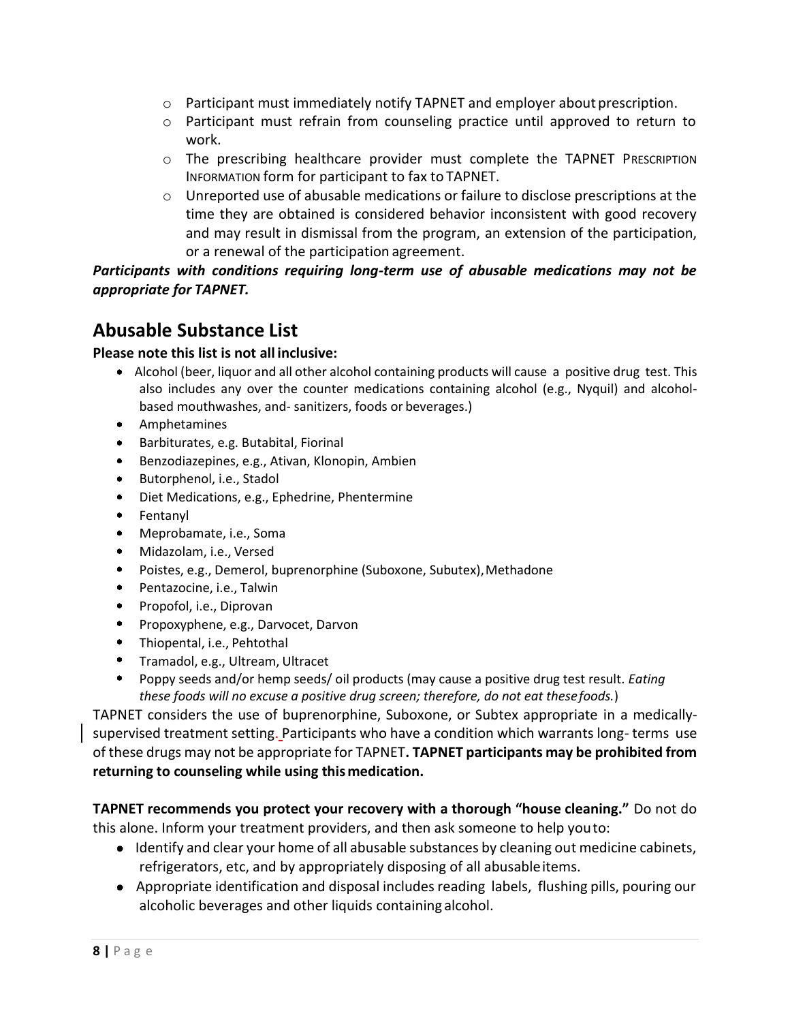- $\circ$  Participant must immediately notify TAPNET and employer about prescription.
- $\circ$  Participant must refrain from counseling practice until approved to return to work.
- $\circ$  The prescribing healthcare provider must complete the TAPNET PRESCRIPTION INFORMATION form for participant to fax to TAPNET.
- $\circ$  Unreported use of abusable medications or failure to disclose prescriptions at the time they are obtained is considered behavior inconsistent with good recovery and may result in dismissal from the program, an extension of the participation, or a renewal of the participation agreement.

*Participants with conditions requiring long-term use of abusable medications may not be appropriate for TAPNET.*

#### **Abusable Substance List**

#### **Please note this list is not all inclusive:**

- Alcohol (beer, liquor and all other alcohol containing products will cause a positive drug test. This also includes any over the counter medications containing alcohol (e.g., Nyquil) and alcoholbased mouthwashes, and- sanitizers, foods or beverages.)
- Amphetamines
- Barbiturates, e.g. Butabital, Fiorinal
- Benzodiazepines, e.g., Ativan, Klonopin, Ambien
- Butorphenol, i.e., Stadol
- Diet Medications, e.g., Ephedrine, Phentermine
- Fentanyl
- Meprobamate, i.e., Soma
- Midazolam, i.e., Versed
- Poistes, e.g., Demerol, buprenorphine (Suboxone, Subutex),Methadone
- Pentazocine, i.e., Talwin
- Propofol, i.e., Diprovan
- **•** Propoxyphene, e.g., Darvocet, Darvon
- Thiopental, i.e., Pehtothal
- Tramadol, e.g., Ultream, Ultracet
- Poppy seeds and/or hemp seeds/ oil products (may cause a positive drug test result. *Eating these foods will no excuse a positive drug screen; therefore, do not eat thesefoods.*)

TAPNET considers the use of buprenorphine, Suboxone, or Subtex appropriate in a medicallysupervised treatment setting. Participants who have a condition which warrants long- terms use of these drugs may not be appropriate for TAPNET**. TAPNET participants may be prohibited from returning to counseling while using thismedication.**

**TAPNET recommends you protect your recovery with a thorough "house cleaning."** Do not do this alone. Inform your treatment providers, and then ask someone to help youto:

- Identify and clear your home of all abusable substances by cleaning out medicine cabinets, refrigerators, etc, and by appropriately disposing of all abusableitems.
- Appropriate identification and disposal includes reading labels, flushing pills, pouring our alcoholic beverages and other liquids containing alcohol.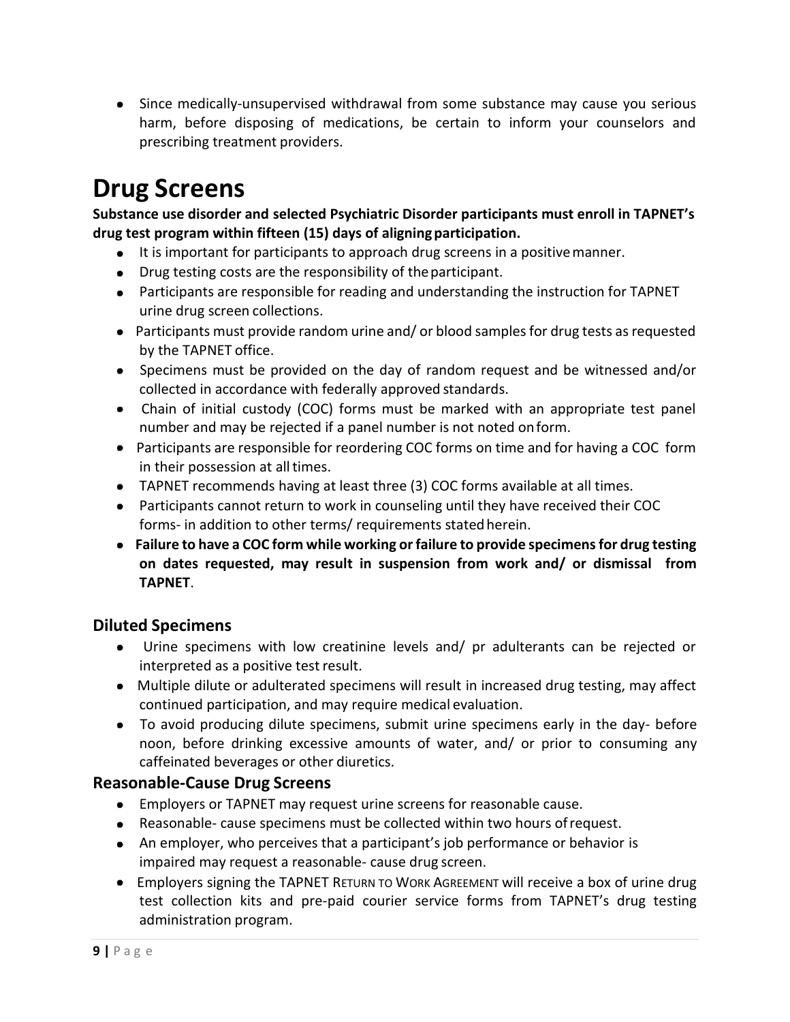Since medically-unsupervised withdrawal from some substance may cause you serious harm, before disposing of medications, be certain to inform your counselors and prescribing treatment providers.

### <span id="page-10-0"></span>**Drug Screens**

**Substance use disorder and selected Psychiatric Disorder participants must enroll in TAPNET's drug test program within fifteen (15) days of aligningparticipation.**

- It is important for participants to approach drug screens in a positivemanner.
- Drug testing costs are the responsibility of the participant.
- Participants are responsible for reading and understanding the instruction for TAPNET urine drug screen collections.
- Participants must provide random urine and/ or blood samples for drug tests as requested by the TAPNET office.
- Specimens must be provided on the day of random request and be witnessed and/or collected in accordance with federally approved standards.
- Chain of initial custody (COC) forms must be marked with an appropriate test panel number and may be rejected if a panel number is not noted onform.
- Participants are responsible for reordering COC forms on time and for having a COC form in their possession at all times.
- TAPNET recommends having at least three (3) COC forms available at all times.
- Participants cannot return to work in counseling until they have received their COC forms- in addition to other terms/ requirements stated herein.
- **Failure to have a COC form while working or failure to provide specimens for drug testing on dates requested, may result in suspension from work and/ or dismissal from TAPNET**.

#### **Diluted Specimens**

- Urine specimens with low creatinine levels and/ pr adulterants can be rejected or interpreted as a positive test result.
- Multiple dilute or adulterated specimens will result in increased drug testing, may affect continued participation, and may require medical evaluation.
- To avoid producing dilute specimens, submit urine specimens early in the day- before noon, before drinking excessive amounts of water, and/ or prior to consuming any caffeinated beverages or other diuretics.

#### **Reasonable-Cause Drug Screens**

- Employers or TAPNET may request urine screens for reasonable cause.
- Reasonable- cause specimens must be collected within two hours ofrequest.
- An employer, who perceives that a participant's job performance or behavior is impaired may request a reasonable- cause drug screen.
- Employers signing the TAPNET RETURN TO WORK AGREEMENT will receive a box of urine drug test collection kits and pre-paid courier service forms from TAPNET's drug testing administration program.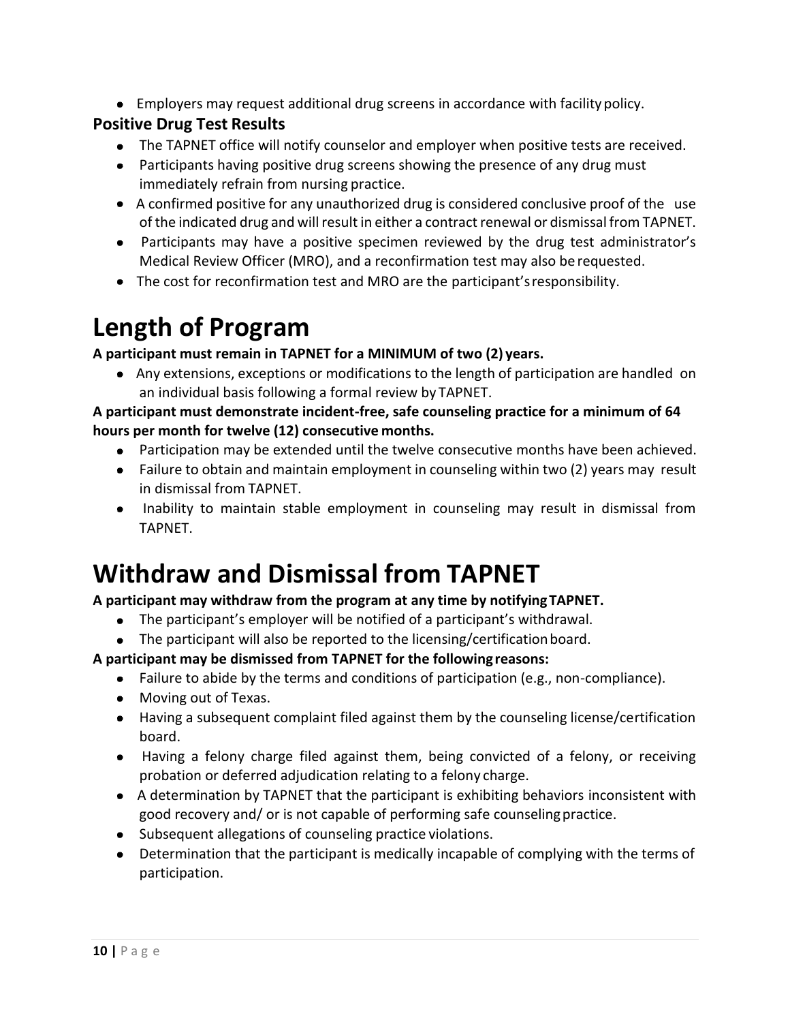Employers may request additional drug screens in accordance with facilitypolicy.

#### **Positive Drug Test Results**

- The TAPNET office will notify counselor and employer when positive tests are received.
- Participants having positive drug screens showing the presence of any drug must immediately refrain from nursing practice.
- A confirmed positive for any unauthorized drug is considered conclusive proof of the use of the indicated drug and will result in either a contract renewal or dismissal from TAPNET.
- Participants may have a positive specimen reviewed by the drug test administrator's Medical Review Officer (MRO), and a reconfirmation test may also be requested.
- The cost for reconfirmation test and MRO are the participant'sresponsibility.

### <span id="page-11-0"></span>**Length of Program**

**A participant must remain in TAPNET for a MINIMUM of two (2) years.**

 Any extensions, exceptions or modifications to the length of participation are handled on an individual basis following a formal review by TAPNET.

#### **A participant must demonstrate incident-free, safe counseling practice for a minimum of 64 hours per month for twelve (12) consecutive months.**

- Participation may be extended until the twelve consecutive months have been achieved.
- Failure to obtain and maintain employment in counseling within two (2) years may result in dismissal from TAPNET.
- Inability to maintain stable employment in counseling may result in dismissal from TAPNET.

### **Withdraw and Dismissal from TAPNET**

#### **A participant may withdraw from the program at any time by notifyingTAPNET.**

- The participant's employer will be notified of a participant's withdrawal.
- The participant will also be reported to the licensing/certification board.

#### **A participant may be dismissed from TAPNET for the followingreasons:**

- Failure to abide by the terms and conditions of participation (e.g., non-compliance).
- Moving out of Texas.
- Having a subsequent complaint filed against them by the counseling license/certification board.
- Having a felony charge filed against them, being convicted of a felony, or receiving probation or deferred adjudication relating to a felony charge.
- A determination by TAPNET that the participant is exhibiting behaviors inconsistent with good recovery and/ or is not capable of performing safe counselingpractice.
- Subsequent allegations of counseling practice violations.
- Determination that the participant is medically incapable of complying with the terms of participation.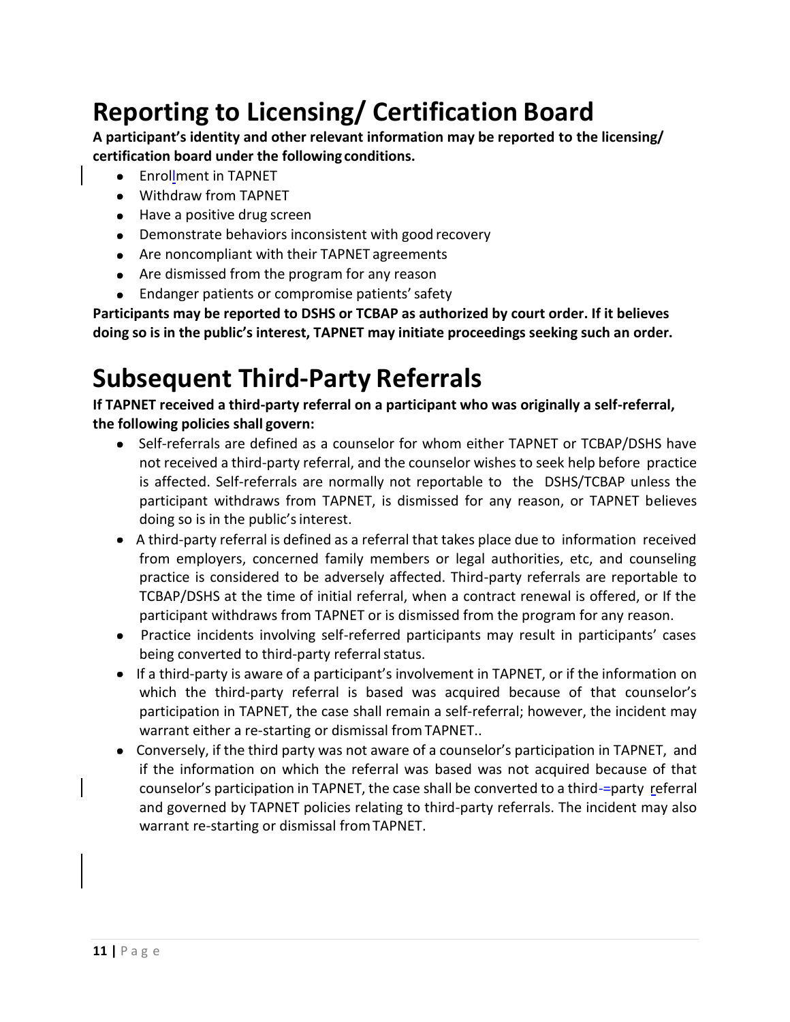# **Reporting to Licensing/ Certification Board**

**A participant's identity and other relevant information may be reported to the licensing/ certification board under the following conditions.**

- **Enrollment in TAPNET**
- Withdraw from TAPNET
- Have a positive drug screen
- Demonstrate behaviors inconsistent with good recovery
- Are noncompliant with their TAPNET agreements
- Are dismissed from the program for any reason
- Endanger patients or compromise patients' safety

**Participants may be reported to DSHS or TCBAP as authorized by court order. If it believes doing so is in the public's interest, TAPNET may initiate proceedings seeking such an order.**

### <span id="page-12-0"></span>**Subsequent Third-Party Referrals**

**If TAPNET received a third-party referral on a participant who was originally a self-referral, the following policies shall govern:**

- Self-referrals are defined as a counselor for whom either TAPNET or TCBAP/DSHS have not received a third-party referral, and the counselor wishes to seek help before practice is affected. Self-referrals are normally not reportable to the DSHS/TCBAP unless the participant withdraws from TAPNET, is dismissed for any reason, or TAPNET believes doing so is in the public's interest.
- A third-party referral is defined as a referral that takes place due to information received from employers, concerned family members or legal authorities, etc, and counseling practice is considered to be adversely affected. Third-party referrals are reportable to TCBAP/DSHS at the time of initial referral, when a contract renewal is offered, or If the participant withdraws from TAPNET or is dismissed from the program for any reason.
- Practice incidents involving self-referred participants may result in participants' cases being converted to third-party referral status.
- If a third-party is aware of a participant's involvement in TAPNET, or if the information on which the third-party referral is based was acquired because of that counselor's participation in TAPNET, the case shall remain a self-referral; however, the incident may warrant either a re-starting or dismissal fromTAPNET..
- Conversely, if the third party was not aware of a counselor's participation in TAPNET, and if the information on which the referral was based was not acquired because of that counselor's participation in TAPNET, the case shall be converted to a third-=party referral and governed by TAPNET policies relating to third-party referrals. The incident may also warrant re-starting or dismissal fromTAPNET.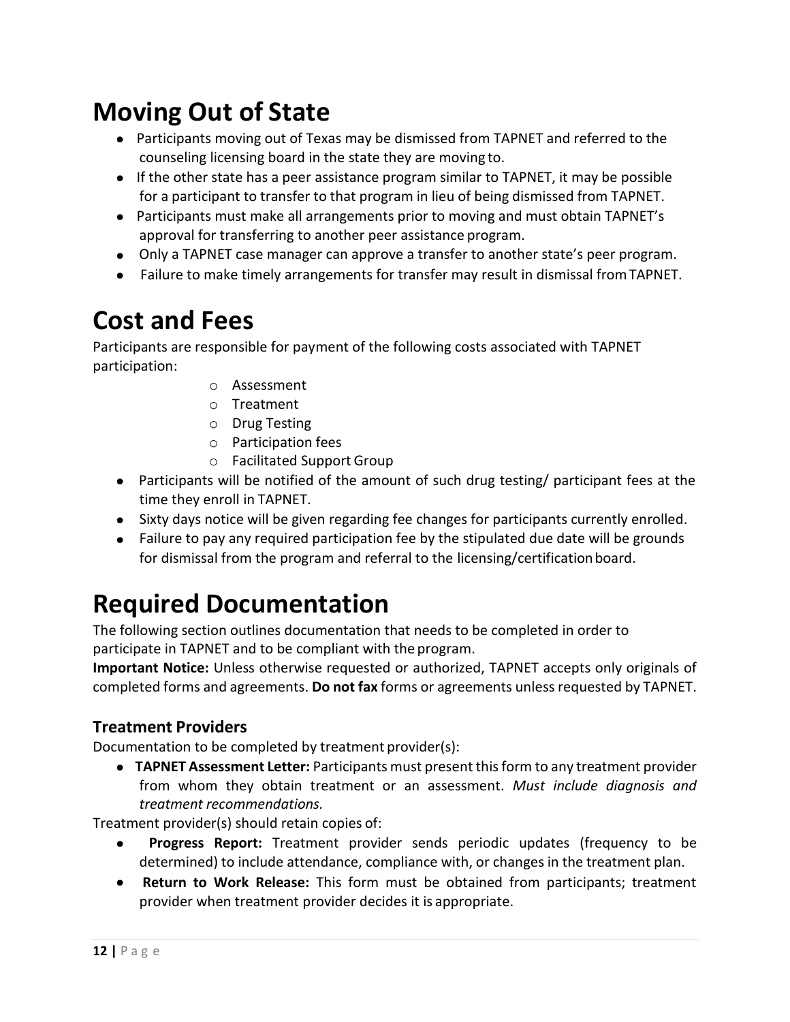### <span id="page-13-0"></span>**Moving Out of State**

- Participants moving out of Texas may be dismissed from TAPNET and referred to the counseling licensing board in the state they are moving to.
- If the other state has a peer assistance program similar to TAPNET, it may be possible for a participant to transfer to that program in lieu of being dismissed from TAPNET.
- Participants must make all arrangements prior to moving and must obtain TAPNET's approval for transferring to another peer assistance program.
- Only a TAPNET case manager can approve a transfer to another state's peer program.
- Failure to make timely arrangements for transfer may result in dismissal fromTAPNET.

### <span id="page-13-1"></span>**Cost and Fees**

Participants are responsible for payment of the following costs associated with TAPNET participation:

- o Assessment
- o Treatment
- o Drug Testing
- o Participation fees
- o Facilitated Support Group
- Participants will be notified of the amount of such drug testing/ participant fees at the time they enroll in TAPNET.
- Sixty days notice will be given regarding fee changes for participants currently enrolled.
- Failure to pay any required participation fee by the stipulated due date will be grounds for dismissal from the program and referral to the licensing/certificationboard.

### **Required Documentation**

The following section outlines documentation that needs to be completed in order to participate in TAPNET and to be compliant with the program.

**Important Notice:** Unless otherwise requested or authorized, TAPNET accepts only originals of completed forms and agreements. **Do not fax** forms or agreements unless requested by TAPNET.

#### <span id="page-13-2"></span>**Treatment Providers**

Documentation to be completed by treatment provider(s):

 **TAPNET Assessment Letter:** Participants must present this form to any treatment provider from whom they obtain treatment or an assessment. *Must include diagnosis and treatment recommendations.*

Treatment provider(s) should retain copies of:

- **Progress Report:** Treatment provider sends periodic updates (frequency to be  $\bullet$ determined) to include attendance, compliance with, or changes in the treatment plan.
- **Return to Work Release:** This form must be obtained from participants; treatment provider when treatment provider decides it is appropriate.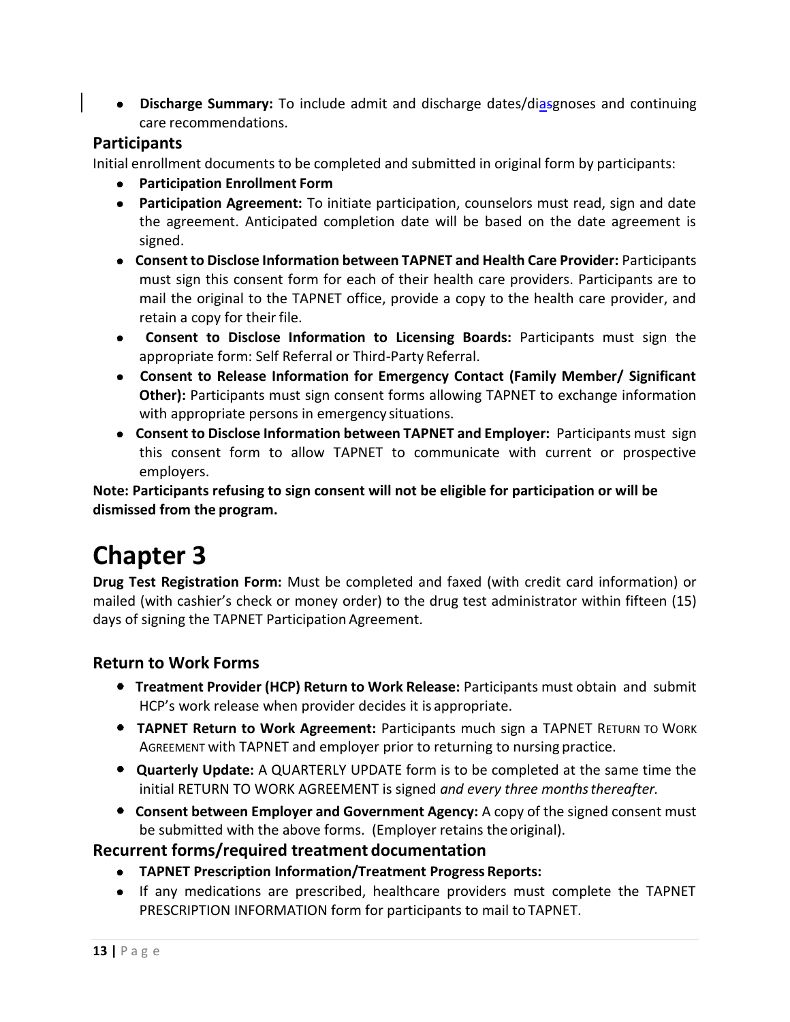**• Discharge Summary:** To include admit and discharge dates/diasgnoses and continuing care recommendations.

#### <span id="page-14-0"></span>**Participants**

Initial enrollment documents to be completed and submitted in original form by participants:

- **Participation Enrollment Form**
- **Participation Agreement:** To initiate participation, counselors must read, sign and date the agreement. Anticipated completion date will be based on the date agreement is signed.
- **Consent to Disclose Information between TAPNET and Health Care Provider:** Participants must sign this consent form for each of their health care providers. Participants are to mail the original to the TAPNET office, provide a copy to the health care provider, and retain a copy for their file.
- **Consent to Disclose Information to Licensing Boards:** Participants must sign the appropriate form: Self Referral or Third-Party Referral.
- **Consent to Release Information for Emergency Contact (Family Member/ Significant Other):** Participants must sign consent forms allowing TAPNET to exchange information with appropriate persons in emergency situations.
- **Consent to Disclose Information between TAPNET and Employer:** Participants must sign this consent form to allow TAPNET to communicate with current or prospective employers.

**Note: Participants refusing to sign consent will not be eligible for participation or will be dismissed from the program.**

# **Chapter 3**

**Drug Test Registration Form:** Must be completed and faxed (with credit card information) or mailed (with cashier's check or money order) to the drug test administrator within fifteen (15) days of signing the TAPNET Participation Agreement.

#### <span id="page-14-1"></span>**Return to Work Forms**

- **Treatment Provider (HCP) Return to Work Release:** Participants must obtain and submit HCP's work release when provider decides it is appropriate.
- **TAPNET Return to Work Agreement:** Participants much sign a TAPNET RETURN TO WORK AGREEMENT with TAPNET and employer prior to returning to nursing practice.
- **Quarterly Update:** A QUARTERLY UPDATE form is to be completed at the same time the initial RETURN TO WORK AGREEMENT is signed *and every three monthsthereafter.*
- **Consent between Employer and Government Agency:** A copy of the signed consent must be submitted with the above forms. (Employer retains the original).

#### **Recurrent forms/required treatment documentation**

- **TAPNET Prescription Information/Treatment Progress Reports:**
- If any medications are prescribed, healthcare providers must complete the TAPNET PRESCRIPTION INFORMATION form for participants to mail to TAPNET.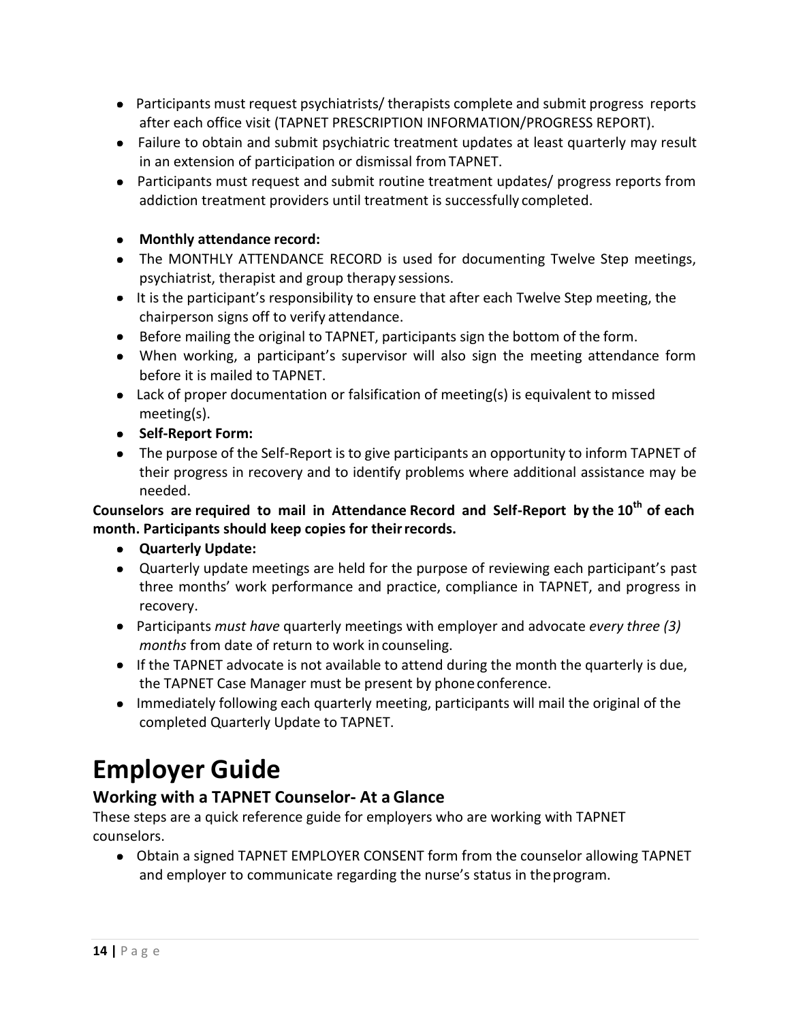- Participants must request psychiatrists/ therapists complete and submit progress reports after each office visit (TAPNET PRESCRIPTION INFORMATION/PROGRESS REPORT).
- Failure to obtain and submit psychiatric treatment updates at least quarterly may result in an extension of participation or dismissal fromTAPNET.
- Participants must request and submit routine treatment updates/ progress reports from addiction treatment providers until treatment is successfully completed.

#### **Monthly attendance record:**

- The MONTHLY ATTENDANCE RECORD is used for documenting Twelve Step meetings, psychiatrist, therapist and group therapy sessions.
- It is the participant's responsibility to ensure that after each Twelve Step meeting, the chairperson signs off to verify attendance.
- Before mailing the original to TAPNET, participants sign the bottom of the form.
- When working, a participant's supervisor will also sign the meeting attendance form before it is mailed to TAPNET.
- Lack of proper documentation or falsification of meeting(s) is equivalent to missed meeting(s).
- **Self-Report Form:**
- The purpose of the Self-Report is to give participants an opportunity to inform TAPNET of their progress in recovery and to identify problems where additional assistance may be needed.

#### **Counselors are required to mail in Attendance Record and Self-Report by the 10th of each month. Participants should keep copies for theirrecords.**

- **Quarterly Update:**
- Quarterly update meetings are held for the purpose of reviewing each participant's past three months' work performance and practice, compliance in TAPNET, and progress in recovery.
- Participants *must have* quarterly meetings with employer and advocate *every three (3) months* from date of return to work in counseling.
- $\bullet$  If the TAPNET advocate is not available to attend during the month the quarterly is due, the TAPNET Case Manager must be present by phoneconference.
- Immediately following each quarterly meeting, participants will mail the original of the completed Quarterly Update to TAPNET.

### **Employer Guide**

#### **Working with a TAPNET Counselor- At a Glance**

These steps are a quick reference guide for employers who are working with TAPNET counselors.

 Obtain a signed TAPNET EMPLOYER CONSENT form from the counselor allowing TAPNET and employer to communicate regarding the nurse's status in theprogram.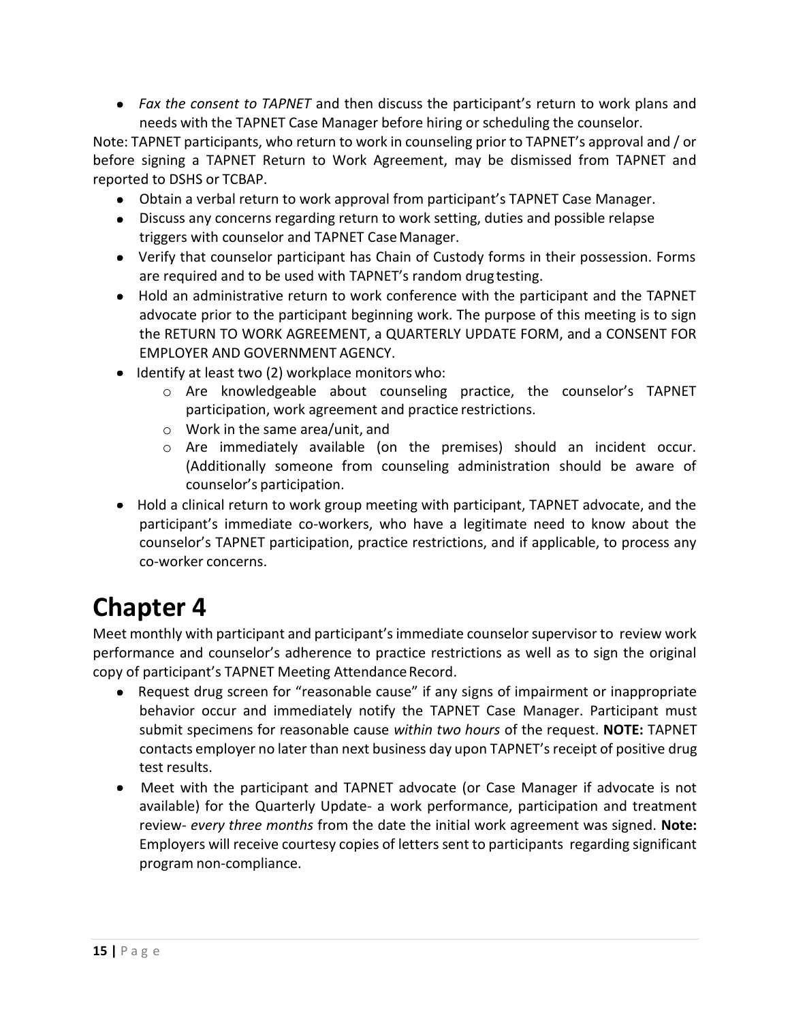*Fax the consent to TAPNET* and then discuss the participant's return to work plans and needs with the TAPNET Case Manager before hiring or scheduling the counselor.

Note: TAPNET participants, who return to work in counseling prior to TAPNET's approval and / or before signing a TAPNET Return to Work Agreement, may be dismissed from TAPNET and reported to DSHS or TCBAP.

- Obtain a verbal return to work approval from participant's TAPNET Case Manager.
- Discuss any concerns regarding return to work setting, duties and possible relapse triggers with counselor and TAPNET CaseManager.
- Verify that counselor participant has Chain of Custody forms in their possession. Forms are required and to be used with TAPNET's random drugtesting.
- Hold an administrative return to work conference with the participant and the TAPNET advocate prior to the participant beginning work. The purpose of this meeting is to sign the RETURN TO WORK AGREEMENT, a QUARTERLY UPDATE FORM, and a CONSENT FOR EMPLOYER AND GOVERNMENT AGENCY.
- $\bullet$  Identify at least two (2) workplace monitors who:
	- o Are knowledgeable about counseling practice, the counselor's TAPNET participation, work agreement and practice restrictions.
	- o Work in the same area/unit, and
	- o Are immediately available (on the premises) should an incident occur. (Additionally someone from counseling administration should be aware of counselor's participation.
- Hold a clinical return to work group meeting with participant, TAPNET advocate, and the participant's immediate co-workers, who have a legitimate need to know about the counselor's TAPNET participation, practice restrictions, and if applicable, to process any co-worker concerns.

### **Chapter 4**

Meet monthly with participant and participant's immediate counselor supervisor to review work performance and counselor's adherence to practice restrictions as well as to sign the original copy of participant's TAPNET Meeting Attendance Record.

- Request drug screen for "reasonable cause" if any signs of impairment or inappropriate behavior occur and immediately notify the TAPNET Case Manager. Participant must submit specimens for reasonable cause *within two hours* of the request. **NOTE:** TAPNET contacts employer no later than next business day upon TAPNET's receipt of positive drug test results.
- Meet with the participant and TAPNET advocate (or Case Manager if advocate is not available) for the Quarterly Update- a work performance, participation and treatment review- *every three months* from the date the initial work agreement was signed. **Note:**  Employers will receive courtesy copies of letters sent to participants regarding significant program non-compliance.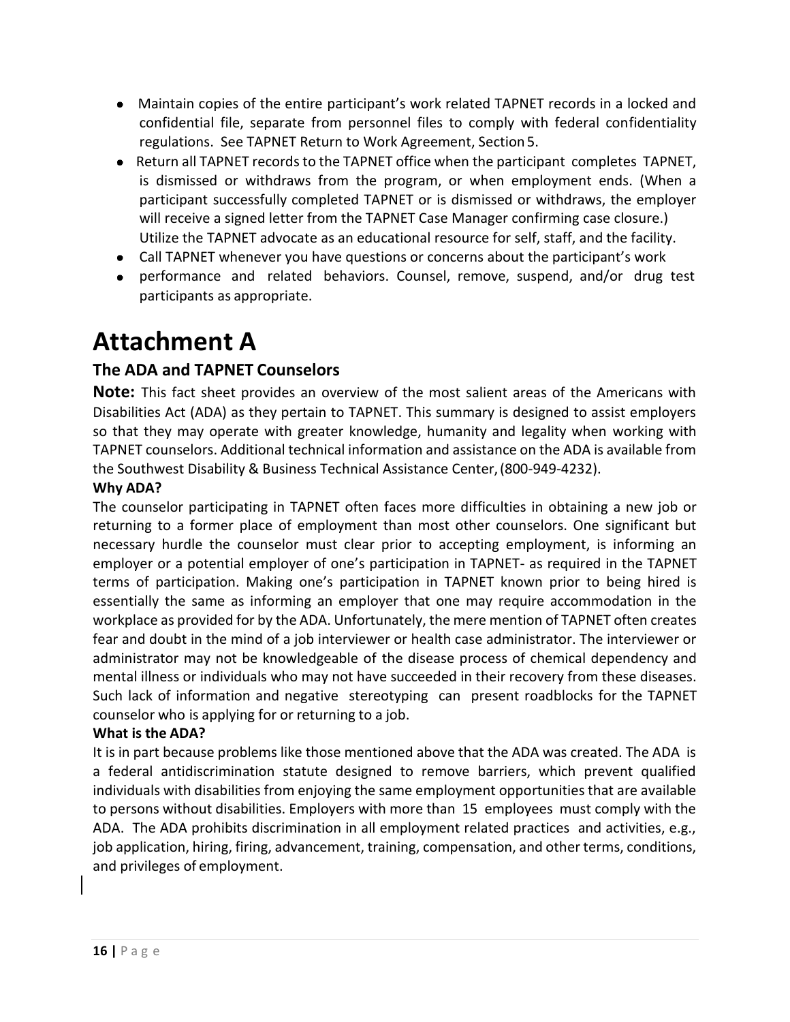- Maintain copies of the entire participant's work related TAPNET records in a locked and confidential file, separate from personnel files to comply with federal confidentiality regulations. See TAPNET Return to Work Agreement, Section 5.
- Return all TAPNET records to the TAPNET office when the participant completes TAPNET, is dismissed or withdraws from the program, or when employment ends. (When a participant successfully completed TAPNET or is dismissed or withdraws, the employer will receive a signed letter from the TAPNET Case Manager confirming case closure.) Utilize the TAPNET advocate as an educational resource for self, staff, and the facility.
- Call TAPNET whenever you have questions or concerns about the participant's work
- performance and related behaviors. Counsel, remove, suspend, and/or drug test participants as appropriate.

### <span id="page-17-0"></span>**Attachment A**

#### **The ADA and TAPNET Counselors**

**Note:** This fact sheet provides an overview of the most salient areas of the Americans with Disabilities Act (ADA) as they pertain to TAPNET. This summary is designed to assist employers so that they may operate with greater knowledge, humanity and legality when working with TAPNET counselors. Additional technical information and assistance on the ADA is available from the Southwest Disability & Business Technical Assistance Center,(800-949-4232).

#### **Why ADA?**

The counselor participating in TAPNET often faces more difficulties in obtaining a new job or returning to a former place of employment than most other counselors. One significant but necessary hurdle the counselor must clear prior to accepting employment, is informing an employer or a potential employer of one's participation in TAPNET- as required in the TAPNET terms of participation. Making one's participation in TAPNET known prior to being hired is essentially the same as informing an employer that one may require accommodation in the workplace as provided for by the ADA. Unfortunately, the mere mention of TAPNET often creates fear and doubt in the mind of a job interviewer or health case administrator. The interviewer or administrator may not be knowledgeable of the disease process of chemical dependency and mental illness or individuals who may not have succeeded in their recovery from these diseases. Such lack of information and negative stereotyping can present roadblocks for the TAPNET counselor who is applying for or returning to a job.

#### **What is the ADA?**

It is in part because problems like those mentioned above that the ADA was created. The ADA is a federal antidiscrimination statute designed to remove barriers, which prevent qualified individuals with disabilities from enjoying the same employment opportunities that are available to persons without disabilities. Employers with more than 15 employees must comply with the ADA. The ADA prohibits discrimination in all employment related practices and activities, e.g., job application, hiring, firing, advancement, training, compensation, and other terms, conditions, and privileges of employment.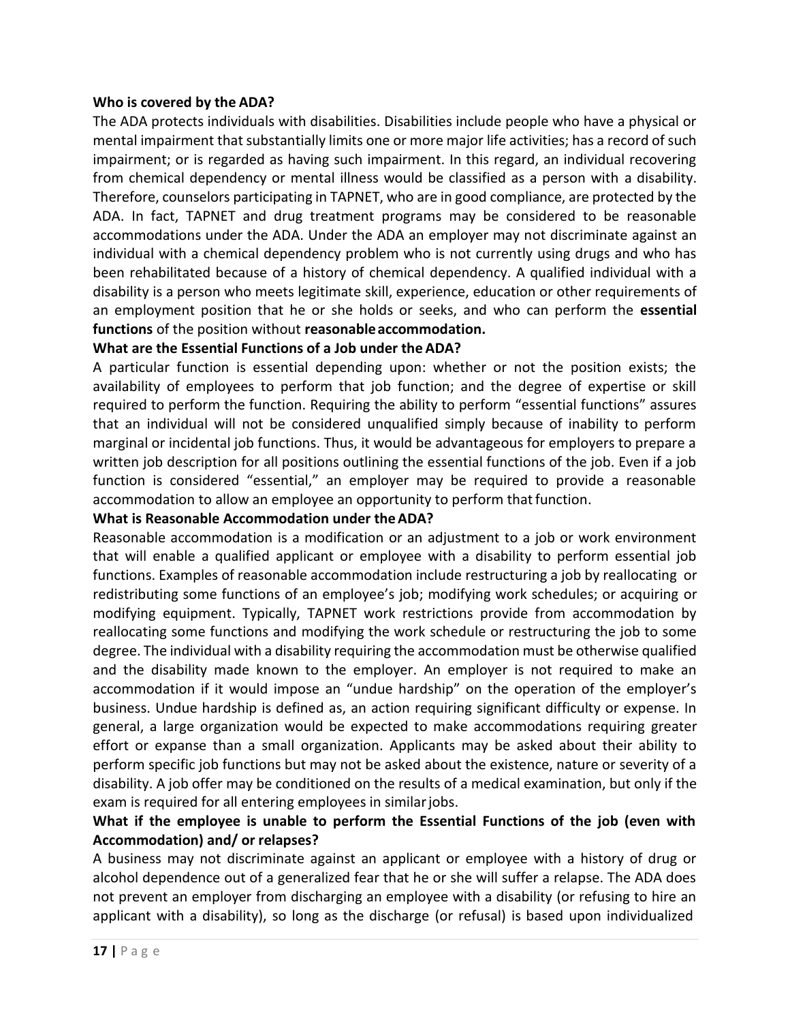#### **Who is covered by the ADA?**

The ADA protects individuals with disabilities. Disabilities include people who have a physical or mental impairment that substantially limits one or more major life activities; has a record of such impairment; or is regarded as having such impairment. In this regard, an individual recovering from chemical dependency or mental illness would be classified as a person with a disability. Therefore, counselors participating in TAPNET, who are in good compliance, are protected by the ADA. In fact, TAPNET and drug treatment programs may be considered to be reasonable accommodations under the ADA. Under the ADA an employer may not discriminate against an individual with a chemical dependency problem who is not currently using drugs and who has been rehabilitated because of a history of chemical dependency. A qualified individual with a disability is a person who meets legitimate skill, experience, education or other requirements of an employment position that he or she holds or seeks, and who can perform the **essential functions** of the position without **reasonableaccommodation.**

#### **What are the Essential Functions of a Job under the ADA?**

A particular function is essential depending upon: whether or not the position exists; the availability of employees to perform that job function; and the degree of expertise or skill required to perform the function. Requiring the ability to perform "essential functions" assures that an individual will not be considered unqualified simply because of inability to perform marginal or incidental job functions. Thus, it would be advantageous for employers to prepare a written job description for all positions outlining the essential functions of the job. Even if a job function is considered "essential," an employer may be required to provide a reasonable accommodation to allow an employee an opportunity to perform that function.

#### **What is Reasonable Accommodation under theADA?**

Reasonable accommodation is a modification or an adjustment to a job or work environment that will enable a qualified applicant or employee with a disability to perform essential job functions. Examples of reasonable accommodation include restructuring a job by reallocating or redistributing some functions of an employee's job; modifying work schedules; or acquiring or modifying equipment. Typically, TAPNET work restrictions provide from accommodation by reallocating some functions and modifying the work schedule or restructuring the job to some degree. The individual with a disability requiring the accommodation must be otherwise qualified and the disability made known to the employer. An employer is not required to make an accommodation if it would impose an "undue hardship" on the operation of the employer's business. Undue hardship is defined as, an action requiring significant difficulty or expense. In general, a large organization would be expected to make accommodations requiring greater effort or expanse than a small organization. Applicants may be asked about their ability to perform specific job functions but may not be asked about the existence, nature or severity of a disability. A job offer may be conditioned on the results of a medical examination, but only if the exam is required for all entering employees in similar jobs.

#### **What if the employee is unable to perform the Essential Functions of the job (even with Accommodation) and/ or relapses?**

A business may not discriminate against an applicant or employee with a history of drug or alcohol dependence out of a generalized fear that he or she will suffer a relapse. The ADA does not prevent an employer from discharging an employee with a disability (or refusing to hire an applicant with a disability), so long as the discharge (or refusal) is based upon individualized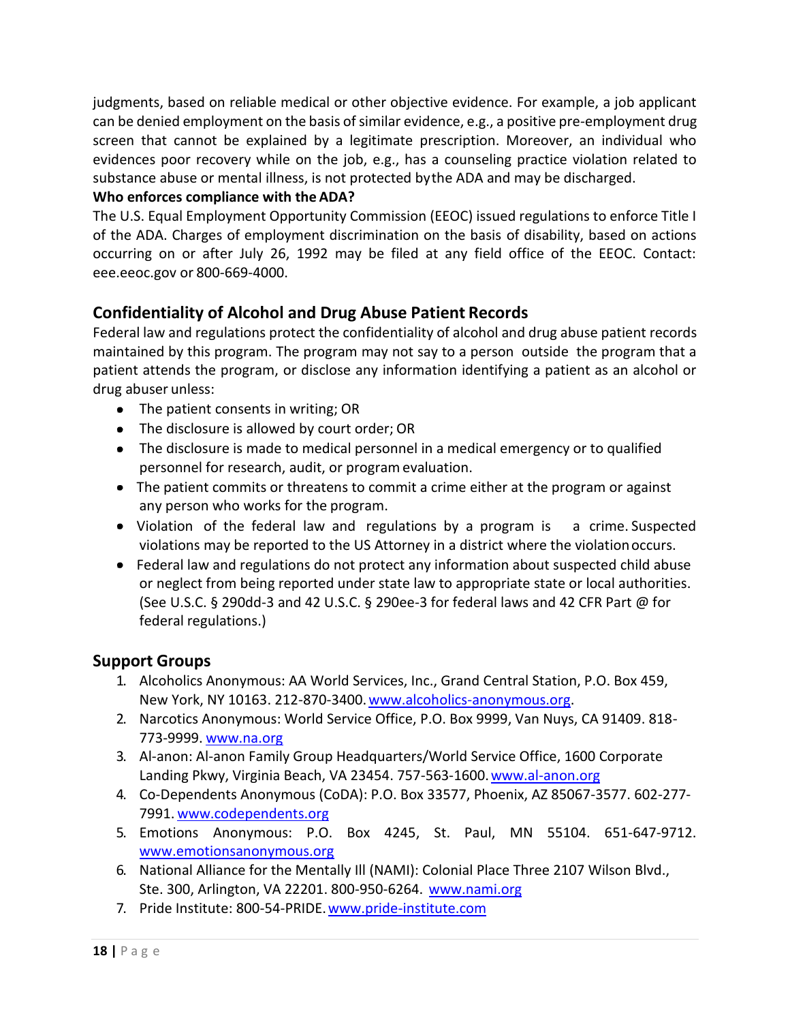judgments, based on reliable medical or other objective evidence. For example, a job applicant can be denied employment on the basis of similar evidence, e.g., a positive pre-employment drug screen that cannot be explained by a legitimate prescription. Moreover, an individual who evidences poor recovery while on the job, e.g., has a counseling practice violation related to substance abuse or mental illness, is not protected bythe ADA and may be discharged.

#### **Who enforces compliance with the ADA?**

The U.S. Equal Employment Opportunity Commission (EEOC) issued regulations to enforce Title I of the ADA. Charges of employment discrimination on the basis of disability, based on actions occurring on or after July 26, 1992 may be filed at any field office of the EEOC. Contact: eee.eeoc.gov or 800-669-4000.

#### **Confidentiality of Alcohol and Drug Abuse Patient Records**

Federal law and regulations protect the confidentiality of alcohol and drug abuse patient records maintained by this program. The program may not say to a person outside the program that a patient attends the program, or disclose any information identifying a patient as an alcohol or drug abuser unless:

- The patient consents in writing; OR
- The disclosure is allowed by court order; OR
- The disclosure is made to medical personnel in a medical emergency or to qualified personnel for research, audit, or programevaluation.
- The patient commits or threatens to commit a crime either at the program or against any person who works for the program.
- Violation of the federal law and regulations by a program is a crime. Suspected violations may be reported to the US Attorney in a district where the violationoccurs.
- Federal law and regulations do not protect any information about suspected child abuse or neglect from being reported under state law to appropriate state or local authorities. (See U.S.C. § 290dd-3 and 42 U.S.C. § 290ee-3 for federal laws and 42 CFR Part @ for federal regulations.)

#### <span id="page-19-0"></span>**Support Groups**

- 1. Alcoholics Anonymous: AA World Services, Inc., Grand Central Station, P.O. Box 459, New York, NY 10163. 212-870-3400[.www.alcoholics-anonymous.org.](http://www.alcoholics-anonymous.org/)
- 2. Narcotics Anonymous: World Service Office, P.O. Box 9999, Van Nuys, CA 91409. 818- 773-9999. [www.na.org](http://www.na.org/)
- 3. Al-anon: Al-anon Family Group Headquarters/World Service Office, 1600 Corporate Landing Pkwy, Virginia Beach, VA 23454. 757-563-1600. www.al-anon.org
- 4. Co-Dependents Anonymous (CoDA): P.O. Box 33577, Phoenix, AZ 85067-3577. 602-277- 7991. [www.codependents.org](http://www.codependents.org/)
- 5. Emotions Anonymous: P.O. Box 4245, St. Paul, MN 55104. 651-647-9712. [www.emotionsanonymous.org](http://www.emotionsanonymous.org/)
- 6. National Alliance for the Mentally Ill (NAMI): Colonial Place Three 2107 Wilson Blvd., Ste. 300, Arlington, VA 22201. 800-950-6264. [www.nami.org](http://www.nami.org/)
- 7. Pride Institute: 800-54-PRIDE[.www.pride-institute.com](http://www.pride-institute.com/)